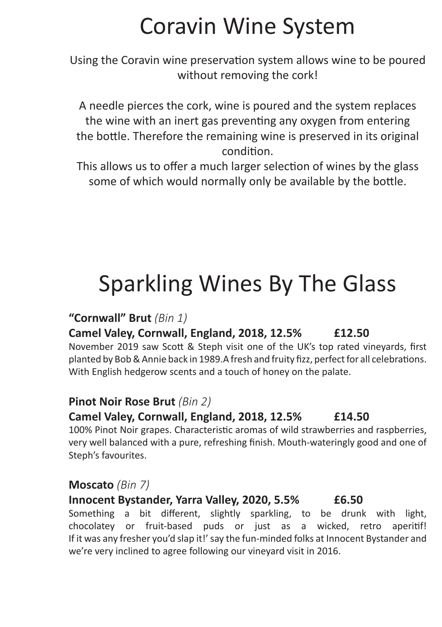# Coravin Wine System

Using the Coravin wine preservation system allows wine to be poured without removing the cork!

A needle pierces the cork, wine is poured and the system replaces the wine with an inert gas preventing any oxygen from entering the bottle. Therefore the remaining wine is preserved in its original condition.

This allows us to offer a much larger selection of wines by the glass some of which would normally only be available by the bottle.

# Sparkling Wines By The Glass

#### **"Cornwall" Brut** *(Bin 1)*

### **Camel Valey, Cornwall, England, 2018, 12.5% £12.50**

November 2019 saw Scott & Steph visit one of the UK's top rated vineyards, first planted by Bob & Annie back in 1989.A fresh and fruity fizz, perfect for all celebrations. With English hedgerow scents and a touch of honey on the palate.

### **Pinot Noir Rose Brut** *(Bin 2)*

### **Camel Valey, Cornwall, England, 2018, 12.5% £14.50**

100% Pinot Noir grapes. Characteristic aromas of wild strawberries and raspberries, very well balanced with a pure, refreshing finish. Mouth-wateringly good and one of Steph's favourites.

### **Moscato** *(Bin 7)*

### **Innocent Bystander, Yarra Valley, 2020, 5.5% £6.50**

Something a bit different, slightly sparkling, to be drunk with light, chocolatey or fruit-based puds or just as a wicked, retro aperitif! If it was any fresher you'd slap it!' say the fun-minded folks at Innocent Bystander and we're very inclined to agree following our vineyard visit in 2016.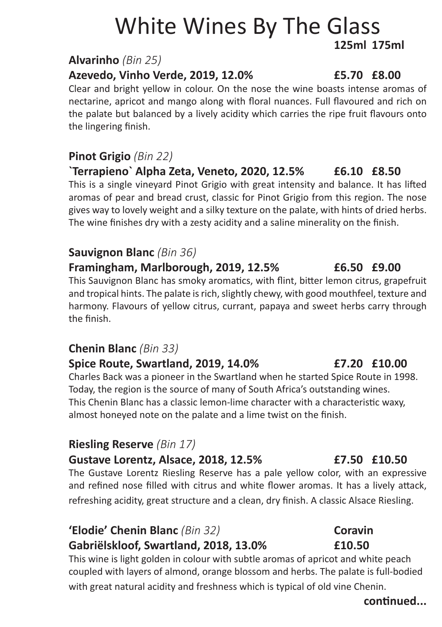# White Wines By The Glass **125ml 175ml**

#### **Alvarinho** *(Bin 25)*

### **Azevedo, Vinho Verde, 2019, 12.0% £5.70 £8.00**

Clear and bright yellow in colour. On the nose the wine boasts intense aromas of nectarine, apricot and mango along with floral nuances. Full flavoured and rich on the palate but balanced by a lively acidity which carries the ripe fruit flavours onto the lingering finish.

### **Pinot Grigio** *(Bin 22)*

**`Terrapieno` Alpha Zeta, Veneto, 2020, 12.5% £6.10 £8.50** This is a single vineyard Pinot Grigio with great intensity and balance. It has lifted aromas of pear and bread crust, classic for Pinot Grigio from this region. The nose gives way to lovely weight and a silky texture on the palate, with hints of dried herbs. The wine finishes dry with a zesty acidity and a saline minerality on the finish.

#### **Sauvignon Blanc** *(Bin 36)*

**Framingham, Marlborough, 2019, 12.5% £6.50 £9.00** This Sauvignon Blanc has smoky aromatics, with flint, bitter lemon citrus, grapefruit and tropical hints. The palate is rich, slightly chewy, with good mouthfeel, texture and harmony. Flavours of yellow citrus, currant, papaya and sweet herbs carry through the finish.

### **Chenin Blanc** *(Bin 33)*

#### **Spice Route, Swartland, 2019, 14.0% £7.20 £10.00**

Charles Back was a pioneer in the Swartland when he started Spice Route in 1998. Today, the region is the source of many of South Africa's outstanding wines. This Chenin Blanc has a classic lemon-lime character with a characteristic waxy, almost honeyed note on the palate and a lime twist on the finish.

#### **Riesling Reserve** *(Bin 17)*

#### **Gustave Lorentz, Alsace, 2018, 12.5% £7.50 £10.50**

The Gustave Lorentz Riesling Reserve has a pale yellow color, with an expressive and refined nose filled with citrus and white flower aromas. It has a lively attack, refreshing acidity, great structure and a clean, dry finish. A classic Alsace Riesling.

#### **'Elodie' Chenin Blanc** *(Bin 32)* **Coravin Gabriëlskloof, Swartland, 2018, 13.0% £10.50**

This wine is light golden in colour with subtle aromas of apricot and white peach coupled with layers of almond, orange blossom and herbs. The palate is full-bodied with great natural acidity and freshness which is typical of old vine Chenin.

#### **continued...**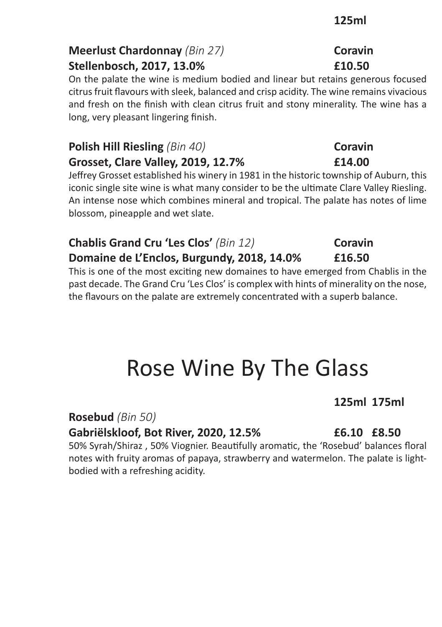### **Meerlust Chardonnay** *(Bin 27)* **Coravin Stellenbosch, 2017, 13.0% £10.50**

On the palate the wine is medium bodied and linear but retains generous focused citrus fruit flavours with sleek, balanced and crisp acidity. The wine remains vivacious and fresh on the finish with clean citrus fruit and stony minerality. The wine has a long, very pleasant lingering finish.

### **Polish Hill Riesling** *(Bin 40)* **Coravin Grosset, Clare Valley, 2019, 12.7% £14.00**

Jeffrey Grosset established his winery in 1981 in the historic township of Auburn, this iconic single site wine is what many consider to be the ultimate Clare Valley Riesling. An intense nose which combines mineral and tropical. The palate has notes of lime blossom, pineapple and wet slate.

#### **Chablis Grand Cru 'Les Clos' (Bin 12) Coravin Domaine de L'Enclos, Burgundy, 2018, 14.0% £16.50**

This is one of the most exciting new domaines to have emerged from Chablis in the past decade. The Grand Cru 'Les Clos' is complex with hints of minerality on the nose, the flavours on the palate are extremely concentrated with a superb balance.

# Rose Wine By The Glass

**Rosebud** *(Bin 50)*

**Gabriëlskloof, Bot River, 2020, 12.5% £6.10 £8.50**

50% Syrah/Shiraz , 50% Viognier. Beautifully aromatic, the 'Rosebud' balances floral notes with fruity aromas of papaya, strawberry and watermelon. The palate is lightbodied with a refreshing acidity.

## **125ml 175ml**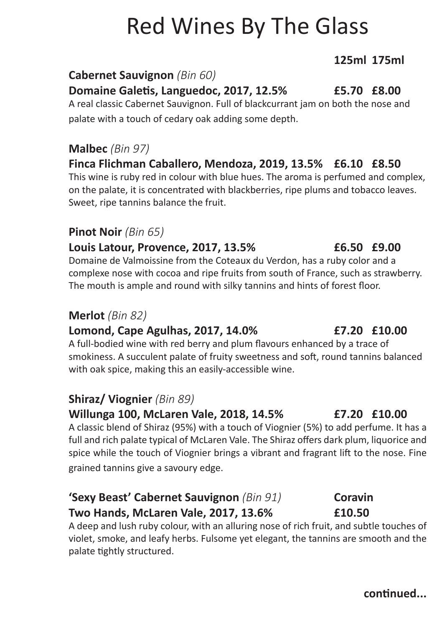# Red Wines By The Glass

### **125ml 175ml**

#### **Cabernet Sauvignon** *(Bin 60)*

**Domaine Galetis, Languedoc, 2017, 12.5% £5.70 £8.00**

A real classic Cabernet Sauvignon. Full of blackcurrant jam on both the nose and palate with a touch of cedary oak adding some depth.

### **Malbec** *(Bin 97)*

**Finca Flichman Caballero, Mendoza, 2019, 13.5% £6.10 £8.50** This wine is ruby red in colour with blue hues. The aroma is perfumed and complex,

on the palate, it is concentrated with blackberries, ripe plums and tobacco leaves. Sweet, ripe tannins balance the fruit.

#### **Pinot Noir** *(Bin 65)*

#### **Louis Latour, Provence, 2017, 13.5% £6.50 £9.00**

Domaine de Valmoissine from the Coteaux du Verdon, has a ruby color and a complexe nose with cocoa and ripe fruits from south of France, such as strawberry. The mouth is ample and round with silky tannins and hints of forest floor.

#### **Merlot** *(Bin 82)*

### **Lomond, Cape Agulhas, 2017, 14.0% £7.20 £10.00**

A full-bodied wine with red berry and plum flavours enhanced by a trace of smokiness. A succulent palate of fruity sweetness and soft, round tannins balanced with oak spice, making this an easily-accessible wine.

### **Shiraz/ Viognier** *(Bin 89)*

#### **Willunga 100, McLaren Vale, 2018, 14.5% £7.20 £10.00**

A classic blend of Shiraz (95%) with a touch of Viognier (5%) to add perfume. It has a full and rich palate typical of McLaren Vale. The Shiraz offers dark plum, liquorice and spice while the touch of Viognier brings a vibrant and fragrant lift to the nose. Fine grained tannins give a savoury edge.

### **'Sexy Beast' Cabernet Sauvignon** *(Bin 91)* **Coravin Two Hands, McLaren Vale, 2017, 13.6% £10.50**

A deep and lush ruby colour, with an alluring nose of rich fruit, and subtle touches of violet, smoke, and leafy herbs. Fulsome yet elegant, the tannins are smooth and the palate tightly structured.

#### **continued...**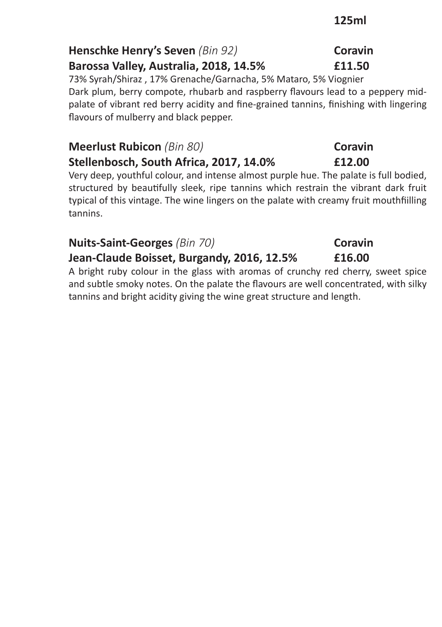### **125ml**

## **Henschke Henry's Seven** *(Bin 92)* **Coravin**

**Barossa Valley, Australia, 2018, 14.5% £11.50**

73% Syrah/Shiraz , 17% Grenache/Garnacha, 5% Mataro, 5% Viognier Dark plum, berry compote, rhubarb and raspberry flavours lead to a peppery midpalate of vibrant red berry acidity and fine-grained tannins, finishing with lingering flavours of mulberry and black pepper.

#### **Meerlust Rubicon** *(Bin 80)* **Coravin Stellenbosch, South Africa, 2017, 14.0% £12.00**

Very deep, youthful colour, and intense almost purple hue. The palate is full bodied, structured by beautifully sleek, ripe tannins which restrain the vibrant dark fruit typical of this vintage. The wine lingers on the palate with creamy fruit mouthfiilling tannins.

### **Nuits-Saint-Georges** *(Bin 70)* **Coravin**

### **Jean-Claude Boisset, Burgandy, 2016, 12.5% £16.00**

A bright ruby colour in the glass with aromas of crunchy red cherry, sweet spice and subtle smoky notes. On the palate the flavours are well concentrated, with silky tannins and bright acidity giving the wine great structure and length.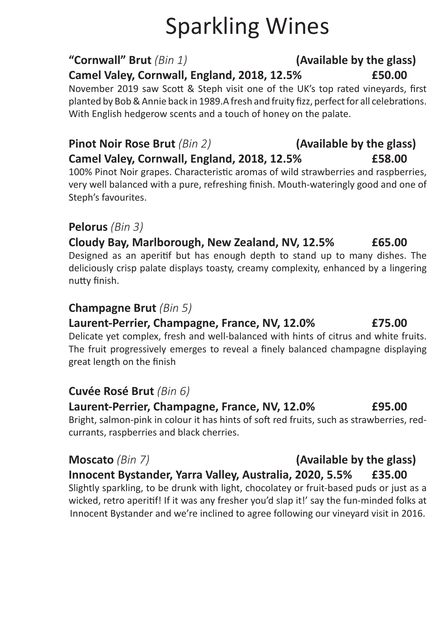# Sparkling Wines

### **"Cornwall" Brut** *(Bin 1)* **(Available by the glass)**

### **Camel Valey, Cornwall, England, 2018, 12.5% £50.00**

November 2019 saw Scott & Steph visit one of the UK's top rated vineyards, first planted by Bob & Annie back in 1989.A fresh and fruity fizz, perfect for all celebrations. With English hedgerow scents and a touch of honey on the palate.

### **Pinot Noir Rose Brut** *(Bin 2)* **(Available by the glass) Camel Valey, Cornwall, England, 2018, 12.5% £58.00**

100% Pinot Noir grapes. Characteristic aromas of wild strawberries and raspberries, very well balanced with a pure, refreshing finish. Mouth-wateringly good and one of Steph's favourites.

### **Pelorus** *(Bin 3)*

**Cloudy Bay, Marlborough, New Zealand, NV, 12.5% £65.00** Designed as an aperitif but has enough depth to stand up to many dishes. The deliciously crisp palate displays toasty, creamy complexity, enhanced by a lingering nutty finish.

### **Champagne Brut** *(Bin 5)*

### **Laurent-Perrier, Champagne, France, NV, 12.0% £75.00**

Delicate yet complex, fresh and well-balanced with hints of citrus and white fruits. The fruit progressively emerges to reveal a finely balanced champagne displaying great length on the finish

### **Cuvée Rosé Brut** *(Bin 6)*

**Laurent-Perrier, Champagne, France, NV, 12.0% £95.00** Bright, salmon-pink in colour it has hints of soft red fruits, such as strawberries, redcurrants, raspberries and black cherries.

### **Moscato** *(Bin 7)* **(Available by the glass)**

## **Innocent Bystander, Yarra Valley, Australia, 2020, 5.5% £35.00**

Slightly sparkling, to be drunk with light, chocolatey or fruit-based puds or just as a wicked, retro aperitif! If it was any fresher you'd slap it!' say the fun-minded folks at Innocent Bystander and we're inclined to agree following our vineyard visit in 2016.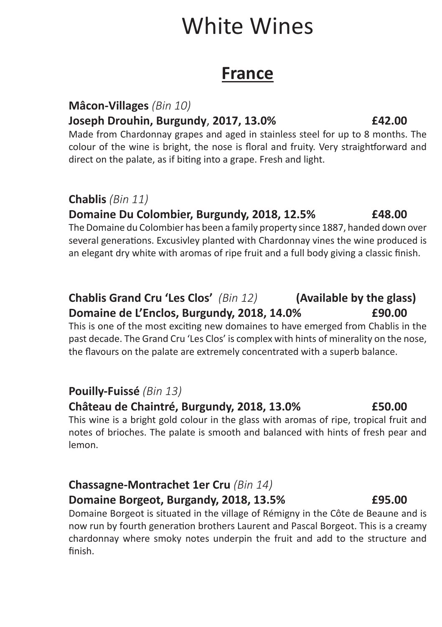# White Wines

# **France France**

#### **Mâcon-Villages** *(Bin 10)*

#### **Joseph Drouhin, Burgundy**, **2017, 13.0% £42.00**

Made from Chardonnay grapes and aged in stainless steel for up to 8 months. The colour of the wine is bright, the nose is floral and fruity. Very straightforward and direct on the palate, as if biting into a grape. Fresh and light.

#### **Chablis** *(Bin 11)*

#### **Domaine Du Colombier, Burgundy, 2018, 12.5% £48.00**

The Domaine du Colombier has been a family property since 1887, handed down over several generations. Excusivley planted with Chardonnay vines the wine produced is an elegant dry white with aromas of ripe fruit and a full body giving a classic finish.

### **Chablis Grand Cru 'Les Clos'** *(Bin 12)* **(Available by the glass) Domaine de L'Enclos, Burgundy, 2018, 14.0% £90.00**

This is one of the most exciting new domaines to have emerged from Chablis in the past decade. The Grand Cru 'Les Clos' is complex with hints of minerality on the nose, the flavours on the palate are extremely concentrated with a superb balance.

#### **Pouilly-Fuissé** *(Bin 13)*

#### **Château de Chaintré, Burgundy, 2018, 13.0% £50.00**

This wine is a bright gold colour in the glass with aromas of ripe, tropical fruit and notes of brioches. The palate is smooth and balanced with hints of fresh pear and lemon.

### **Chassagne-Montrachet 1er Cru** *(Bin 14)*  **Domaine Borgeot, Burgandy, 2018, 13.5% £95.00**

Domaine Borgeot is situated in the village of Rémigny in the Côte de Beaune and is now run by fourth generation brothers Laurent and Pascal Borgeot. This is a creamy chardonnay where smoky notes underpin the fruit and add to the structure and finish.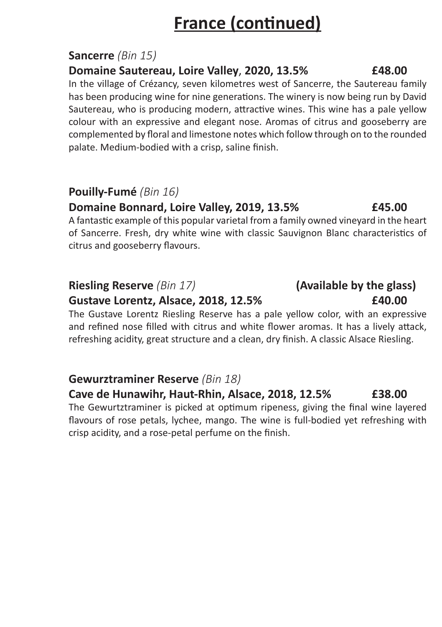# **France (continued)**

### **Sancerre** *(Bin 15)*

#### **Domaine Sautereau, Loire Valley**, **2020, 13.5% £48.00**

In the village of Crézancy, seven kilometres west of Sancerre, the Sautereau family has been producing wine for nine generations. The winery is now being run by David Sautereau, who is producing modern, attractive wines. This wine has a pale yellow colour with an expressive and elegant nose. Aromas of citrus and gooseberry are complemented by floral and limestone notes which follow through on to the rounded palate. Medium-bodied with a crisp, saline finish.

### **Pouilly-Fumé** *(Bin 16)*

### **Domaine Bonnard, Loire Valley, 2019, 13.5% £45.00**

A fantastic example of this popular varietal from a family owned vineyard in the heart of Sancerre. Fresh, dry white wine with classic Sauvignon Blanc characteristics of citrus and gooseberry flavours.

### **Riesling Reserve** *(Bin 17)* **(Available by the glass)**

#### **Gustave Lorentz, Alsace, 2018, 12.5% £40.00**

The Gustave Lorentz Riesling Reserve has a pale yellow color, with an expressive and refined nose filled with citrus and white flower aromas. It has a lively attack, refreshing acidity, great structure and a clean, dry finish. A classic Alsace Riesling.

### **Gewurztraminer Reserve** *(Bin 18)*

#### **Cave de Hunawihr, Haut-Rhin, Alsace, 2018, 12.5% £38.00**

The Gewurtztraminer is picked at optimum ripeness, giving the final wine layered flavours of rose petals, lychee, mango. The wine is full-bodied yet refreshing with crisp acidity, and a rose-petal perfume on the finish.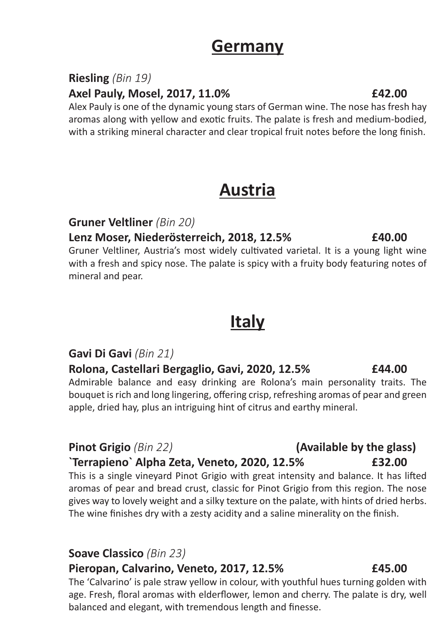## **Germany**

#### **Riesling** *(Bin 19)*

#### **Axel Pauly, Mosel, 2017, 11.0% £42.00**

Alex Pauly is one of the dynamic young stars of German wine. The nose has fresh hay aromas along with yellow and exotic fruits. The palate is fresh and medium-bodied, with a striking mineral character and clear tropical fruit notes before the long finish.

## **Austria**

**Gruner Veltliner** *(Bin 20)*

**Lenz Moser, Niederösterreich, 2018, 12.5% £40.00**

Gruner Veltliner, Austria's most widely cultivated varietal. It is a young light wine with a fresh and spicy nose. The palate is spicy with a fruity body featuring notes of mineral and pear.

# **Italy**

### **Gavi Di Gavi** *(Bin 21)*

**Rolona, Castellari Bergaglio, Gavi, 2020, 12.5% £44.00** Admirable balance and easy drinking are Rolona's main personality traits. The bouquet is rich and long lingering, offering crisp, refreshing aromas of pear and green apple, dried hay, plus an intriguing hint of citrus and earthy mineral.

#### **`Terrapieno` Alpha Zeta, Veneto, 2020, 12.5% £32.00**

This is a single vineyard Pinot Grigio with great intensity and balance. It has lifted aromas of pear and bread crust, classic for Pinot Grigio from this region. The nose gives way to lovely weight and a silky texture on the palate, with hints of dried herbs. The wine finishes dry with a zesty acidity and a saline minerality on the finish.

#### **Soave Classico** *(Bin 23)*

#### **Pieropan, Calvarino, Veneto, 2017, 12.5% £45.00**

The 'Calvarino' is pale straw yellow in colour, with youthful hues turning golden with age. Fresh, floral aromas with elderflower, lemon and cherry. The palate is dry, well balanced and elegant, with tremendous length and finesse.

# **Pinot Grigio** *(Bin 22)* **(Available by the glass)**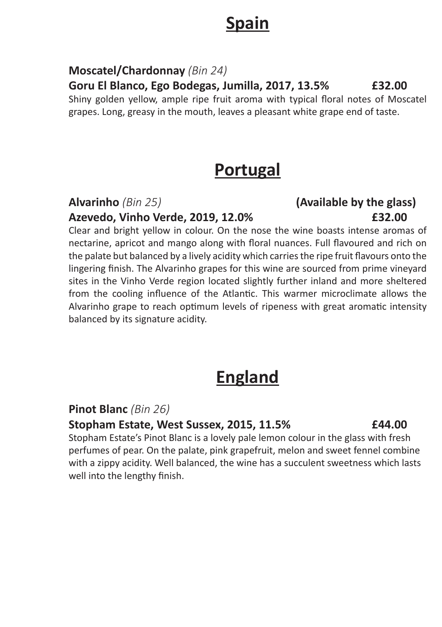# **Spain** Spain Spain Spain Spain Spain Spain Spain Spain Spain Spain Spain Spain Spain Spain Spain Spain Spain Spain Spain Spain Spain Spain Spain Spain Spain Spain Spain Spain Spain Spain Spain Spain Spain Spain Spain Spai

#### **Moscatel/Chardonnay** *(Bin 24)*

**Goru El Blanco, Ego Bodegas, Jumilla, 2017, 13.5% £32.00**

Shiny golden yellow, ample ripe fruit aroma with typical floral notes of Moscatel grapes. Long, greasy in the mouth, leaves a pleasant white grape end of taste.

## **Portugal**

**Azevedo, Vinho Verde, 2019, 12.0% £32.00**

Clear and bright yellow in colour. On the nose the wine boasts intense aromas of nectarine, apricot and mango along with floral nuances. Full flavoured and rich on the palate but balanced by a lively acidity which carries the ripe fruit flavours onto the lingering finish. The Alvarinho grapes for this wine are sourced from prime vineyard sites in the Vinho Verde region located slightly further inland and more sheltered from the cooling influence of the Atlantic. This warmer microclimate allows the Alvarinho grape to reach optimum levels of ripeness with great aromatic intensity balanced by its signature acidity.

# **England**

### **Pinot Blanc** *(Bin 26)*

#### **Stopham Estate, West Sussex, 2015, 11.5% £44.00**

Stopham Estate's Pinot Blanc is a lovely pale lemon colour in the glass with fresh perfumes of pear. On the palate, pink grapefruit, melon and sweet fennel combine with a zippy acidity. Well balanced, the wine has a succulent sweetness which lasts well into the lengthy finish.

# **Alvarinho** *(Bin 25)* **(Available by the glass)**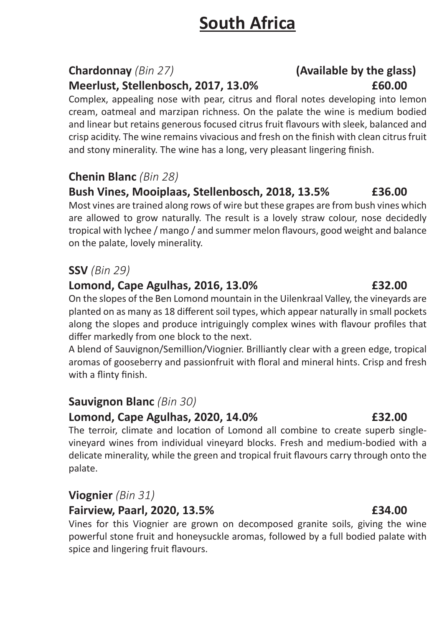# **South Africa**

#### **Chardonnay** *(Bin 27)* **(Available by the glass) Meerlust, Stellenbosch, 2017, 13.0% £60.00**

Complex, appealing nose with pear, citrus and floral notes developing into lemon cream, oatmeal and marzipan richness. On the palate the wine is medium bodied and linear but retains generous focused citrus fruit flavours with sleek, balanced and crisp acidity. The wine remains vivacious and fresh on the finish with clean citrus fruit and stony minerality. The wine has a long, very pleasant lingering finish.

### **Chenin Blanc** *(Bin 28)*

#### **Bush Vines, Mooiplaas, Stellenbosch, 2018, 13.5% £36.00**

Most vines are trained along rows of wire but these grapes are from bush vines which are allowed to grow naturally. The result is a lovely straw colour, nose decidedly tropical with lychee / mango / and summer melon flavours, good weight and balance on the palate, lovely minerality.

### **SSV** *(Bin 29)*

#### **Lomond, Cape Agulhas, 2016, 13.0% £32.00**

On the slopes of the Ben Lomond mountain in the Uilenkraal Valley, the vineyards are planted on as many as 18 different soil types, which appear naturally in small pockets along the slopes and produce intriguingly complex wines with flavour profiles that differ markedly from one block to the next.

A blend of Sauvignon/Semillion/Viognier. Brilliantly clear with a green edge, tropical aromas of gooseberry and passionfruit with floral and mineral hints. Crisp and fresh with a flinty finish.

#### **Sauvignon Blanc** *(Bin 30)*

#### **Lomond, Cape Agulhas, 2020, 14.0% £32.00**

The terroir, climate and location of Lomond all combine to create superb singlevineyard wines from individual vineyard blocks. Fresh and medium-bodied with a delicate minerality, while the green and tropical fruit flavours carry through onto the palate.

#### **Viognier** *(Bin 31)*

#### **Fairview, Paarl, 2020, 13.5% £34.00**

Vines for this Viognier are grown on decomposed granite soils, giving the wine powerful stone fruit and honeysuckle aromas, followed by a full bodied palate with spice and lingering fruit flavours.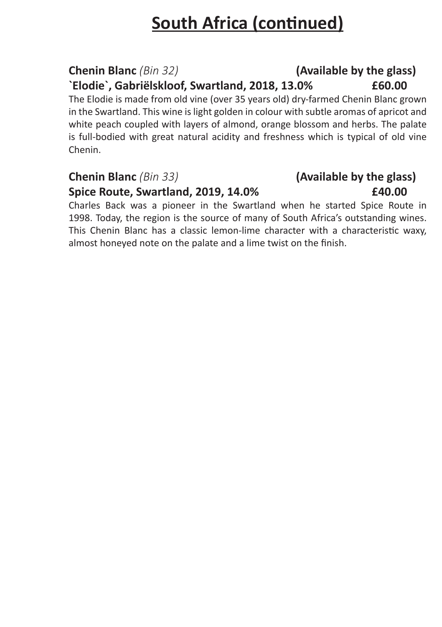# **South Africa (continued)**

# **Chenin Blanc** *(Bin 32)* **(Available by the glass)**

**`Elodie`, Gabriëlskloof, Swartland, 2018, 13.0% £60.00**

The Elodie is made from old vine (over 35 years old) dry-farmed Chenin Blanc grown in the Swartland. This wine is light golden in colour with subtle aromas of apricot and white peach coupled with layers of almond, orange blossom and herbs. The palate is full-bodied with great natural acidity and freshness which is typical of old vine Chenin.

### **Chenin Blanc** *(Bin 33)* **(Available by the glass)**

#### **Spice Route, Swartland, 2019, 14.0% £40.00**

Charles Back was a pioneer in the Swartland when he started Spice Route in 1998. Today, the region is the source of many of South Africa's outstanding wines. This Chenin Blanc has a classic lemon-lime character with a characteristic waxy, almost honeyed note on the palate and a lime twist on the finish.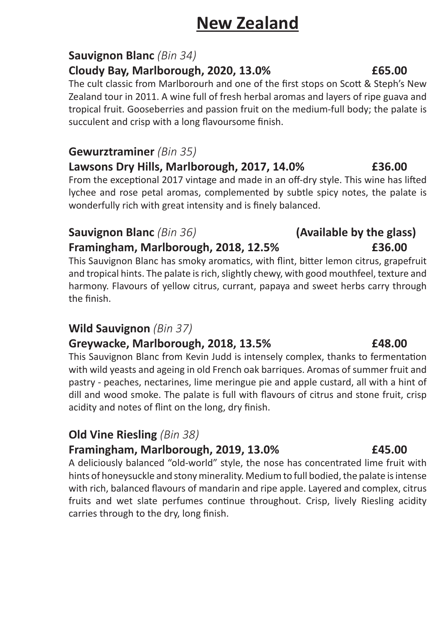# **New Zealand**

#### **Sauvignon Blanc** *(Bin 34)*

#### **Cloudy Bay, Marlborough, 2020, 13.0% £65.00**

The cult classic from Marlborourh and one of the first stops on Scott & Steph's New Zealand tour in 2011. A wine full of fresh herbal aromas and layers of ripe guava and tropical fruit. Gooseberries and passion fruit on the medium-full body; the palate is succulent and crisp with a long flavoursome finish.

#### **Gewurztraminer** *(Bin 35)*

### **Lawsons Dry Hills, Marlborough, 2017, 14.0% £36.00**

From the exceptional 2017 vintage and made in an off-dry style. This wine has lifted lychee and rose petal aromas, complemented by subtle spicy notes, the palate is wonderfully rich with great intensity and is finely balanced.

#### **Sauvignon Blanc** *(Bin 36)* **(Available by the glass)**

### **Framingham, Marlborough, 2018, 12.5% £36.00**

This Sauvignon Blanc has smoky aromatics, with flint, bitter lemon citrus, grapefruit and tropical hints. The palate is rich, slightly chewy, with good mouthfeel, texture and harmony. Flavours of yellow citrus, currant, papaya and sweet herbs carry through the finish.

### **Wild Sauvignon** *(Bin 37)*

### **Greywacke, Marlborough, 2018, 13.5% £48.00**

This Sauvignon Blanc from Kevin Judd is intensely complex, thanks to fermentation with wild yeasts and ageing in old French oak barriques. Aromas of summer fruit and pastry - peaches, nectarines, lime meringue pie and apple custard, all with a hint of dill and wood smoke. The palate is full with flavours of citrus and stone fruit, crisp acidity and notes of flint on the long, dry finish.

### **Old Vine Riesling** *(Bin 38)*

### **Framingham, Marlborough, 2019, 13.0% £45.00**

A deliciously balanced "old-world" style, the nose has concentrated lime fruit with hints of honeysuckle and stony minerality. Medium to full bodied, the palate is intense with rich, balanced flavours of mandarin and ripe apple. Layered and complex, citrus fruits and wet slate perfumes continue throughout. Crisp, lively Riesling acidity carries through to the dry, long finish.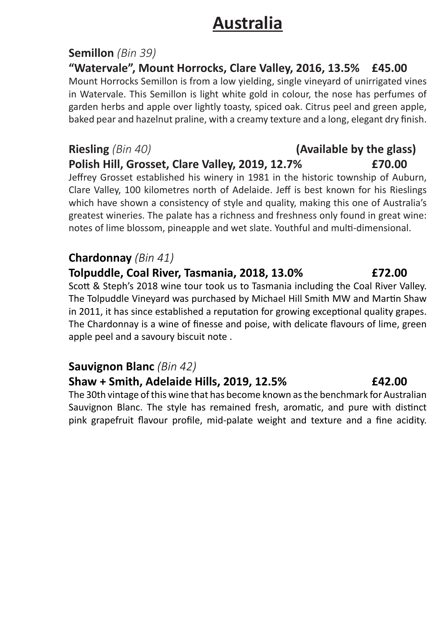## **Australia**

#### **Semillon** *(Bin 39)*

**"Watervale", Mount Horrocks, Clare Valley, 2016, 13.5% £45.00** Mount Horrocks Semillon is from a low yielding, single vineyard of unirrigated vines in Watervale. This Semillon is light white gold in colour, the nose has perfumes of

garden herbs and apple over lightly toasty, spiced oak. Citrus peel and green apple, baked pear and hazelnut praline, with a creamy texture and a long, elegant dry finish.

## **Riesling** *(Bin 40)* **(Available by the glass) Polish Hill, Grosset, Clare Valley, 2019, 12.7% £70.00**

Jeffrey Grosset established his winery in 1981 in the historic township of Auburn, Clare Valley, 100 kilometres north of Adelaide. Jeff is best known for his Rieslings which have shown a consistency of style and quality, making this one of Australia's greatest wineries. The palate has a richness and freshness only found in great wine: notes of lime blossom, pineapple and wet slate. Youthful and multi-dimensional.

### **Chardonnay** *(Bin 41)*

#### **Tolpuddle, Coal River, Tasmania, 2018, 13.0% £72.00**

Scott & Steph's 2018 wine tour took us to Tasmania including the Coal River Valley. The Tolpuddle Vineyard was purchased by Michael Hill Smith MW and Martin Shaw in 2011, it has since established a reputation for growing exceptional quality grapes. The Chardonnay is a wine of finesse and poise, with delicate flavours of lime, green apple peel and a savoury biscuit note .

### **Sauvignon Blanc** *(Bin 42)*

#### **Shaw + Smith, Adelaide Hills, 2019, 12.5% £42.00**

The 30th vintage of this wine that has become known as the benchmark for Australian Sauvignon Blanc. The style has remained fresh, aromatic, and pure with distinct pink grapefruit flavour profile, mid-palate weight and texture and a fine acidity.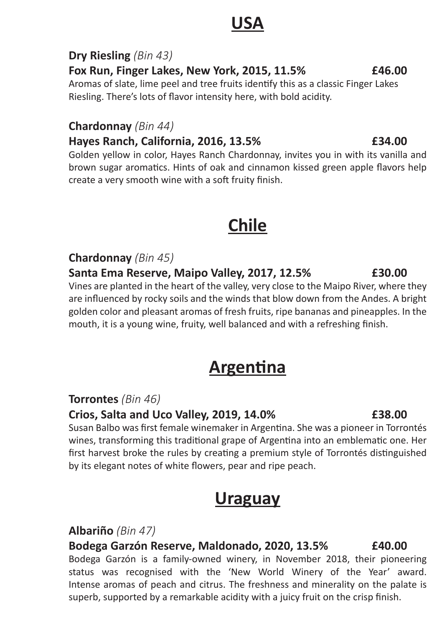## **USA**

### **Dry Riesling** *(Bin 43)*

**Fox Run, Finger Lakes, New York, 2015, 11.5% £46.00**

Aromas of slate, lime peel and tree fruits identify this as a classic Finger Lakes Riesling. There's lots of flavor intensity here, with bold acidity.

### **Chardonnay** *(Bin 44)*

### **Hayes Ranch, California, 2016, 13.5% £34.00**

Golden yellow in color, Hayes Ranch Chardonnay, invites you in with its vanilla and brown sugar aromatics. Hints of oak and cinnamon kissed green apple flavors help create a very smooth wine with a soft fruity finish.

# **Chile Chile**

### **Chardonnay** *(Bin 45)*

#### **Santa Ema Reserve, Maipo Valley, 2017, 12.5% £30.00**

Vines are planted in the heart of the valley, very close to the Maipo River, where they are influenced by rocky soils and the winds that blow down from the Andes. A bright golden color and pleasant aromas of fresh fruits, ripe bananas and pineapples. In the mouth, it is a young wine, fruity, well balanced and with a refreshing finish.

# **Argentina**

**Torrontes** *(Bin 46)*

### **Crios, Salta and Uco Valley, 2019, 14.0% £38.00**

Susan Balbo was first female winemaker in Argentina. She was a pioneer in Torrontés wines, transforming this traditional grape of Argentina into an emblematic one. Her first harvest broke the rules by creating a premium style of Torrontés distinguished by its elegant notes of white flowers, pear and ripe peach.

## **Uraguay**

### **Albariño** *(Bin 47)*

**Bodega Garzón Reserve, Maldonado, 2020, 13.5% £40.00** Bodega Garzón is a family-owned winery, in November 2018, their pioneering status was recognised with the 'New World Winery of the Year' award. Intense aromas of peach and citrus. The freshness and minerality on the palate is superb, supported by a remarkable acidity with a juicy fruit on the crisp finish.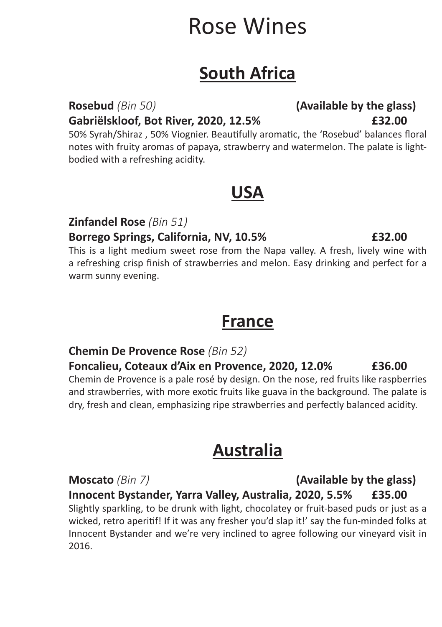# Rose Wines

## **South Africa**

**Gabriëlskloof, Bot River, 2020, 12.5% £32.00**

50% Syrah/Shiraz , 50% Viognier. Beautifully aromatic, the 'Rosebud' balances floral notes with fruity aromas of papaya, strawberry and watermelon. The palate is lightbodied with a refreshing acidity.

## **USA**

**Zinfandel Rose** *(Bin 51)*

#### **Borrego Springs, California, NV, 10.5% £32.00**

This is a light medium sweet rose from the Napa valley. A fresh, lively wine with a refreshing crisp finish of strawberries and melon. Easy drinking and perfect for a warm sunny evening.

## **France**

### **Chemin De Provence Rose** *(Bin 52)*

## **Foncalieu, Coteaux d'Aix en Provence, 2020, 12.0% £36.00**

Chemin de Provence is a pale rosé by design. On the nose, red fruits like raspberries and strawberries, with more exotic fruits like guava in the background. The palate is dry, fresh and clean, emphasizing ripe strawberries and perfectly balanced acidity.

## **Australia**

**Moscato** *(Bin 7)* **(Available by the glass) Innocent Bystander, Yarra Valley, Australia, 2020, 5.5% £35.00** Slightly sparkling, to be drunk with light, chocolatey or fruit-based puds or just as a wicked, retro aperitif! If it was any fresher you'd slap it!' say the fun-minded folks at Innocent Bystander and we're very inclined to agree following our vineyard visit in 2016.

# **Rosebud** *(Bin 50)* **(Available by the glass)**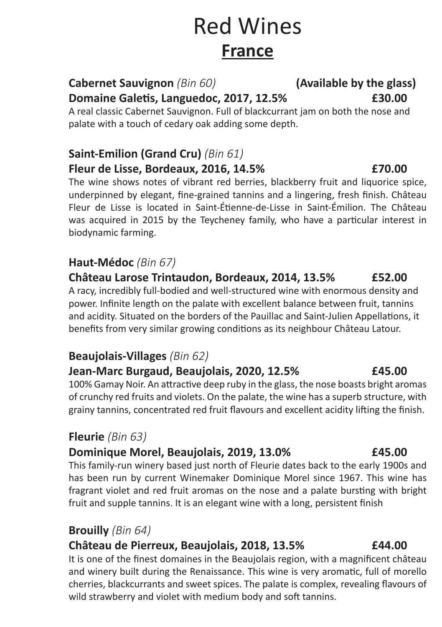# Red Wines **France**

## **Cabernet Sauvignon** *(Bin 60)* **(Available by the glass)**

A real classic Cabernet Sauvignon. Full of blackcurrant jam on both the nose and palate with a touch of cedary oak adding some depth.

### **Saint-Emilion (Grand Cru)** *(Bin 61)* **Fleur de Lisse, Bordeaux, 2016, 14.5% £70.00**

The wine shows notes of vibrant red berries, blackberry fruit and liquorice spice, underpinned by elegant, fine-grained tannins and a lingering, fresh finish. Château Fleur de Lisse is located in Saint-Étienne-de-Lisse in Saint-Émilion. The Château was acquired in 2015 by the Teycheney family, who have a particular interest in biodynamic farming.

### **Haut-Médoc** *(Bin 67)*

**Château Larose Trintaudon, Bordeaux, 2014, 13.5% £52.00** A racy, incredibly full-bodied and well-structured wine with enormous density and power. Infinite length on the palate with excellent balance between fruit, tannins and acidity. Situated on the borders of the Pauillac and Saint-Julien Appellations, it benefits from very similar growing conditions as its neighbour Château Latour.

### **Beaujolais-Villages** *(Bin 62)*

#### **Jean-Marc Burgaud, Beaujolais, 2020, 12.5% £45.00**

100% Gamay Noir. An attractive deep ruby in the glass, the nose boasts bright aromas of crunchy red fruits and violets. On the palate, the wine has a superb structure, with grainy tannins, concentrated red fruit flavours and excellent acidity lifting the finish.

### **Fleurie** *(Bin 63)*

### **Dominique Morel, Beaujolais, 2019, 13.0% £45.00**

This family-run winery based just north of Fleurie dates back to the early 1900s and has been run by current Winemaker Dominique Morel since 1967. This wine has fragrant violet and red fruit aromas on the nose and a palate bursting with bright fruit and supple tannins. It is an elegant wine with a long, persistent finish

### **Brouilly** *(Bin 64)*

### **Château de Pierreux, Beaujolais, 2018, 13.5% £44.00**

It is one of the finest domaines in the Beaujolais region, with a magnificent château and winery built during the Renaissance. This wine is very aromatic, full of morello cherries, blackcurrants and sweet spices. The palate is complex, revealing flavours of wild strawberry and violet with medium body and soft tannins.

# **Domaine Galetis, Languedoc, 2017, 12.5% £30.00**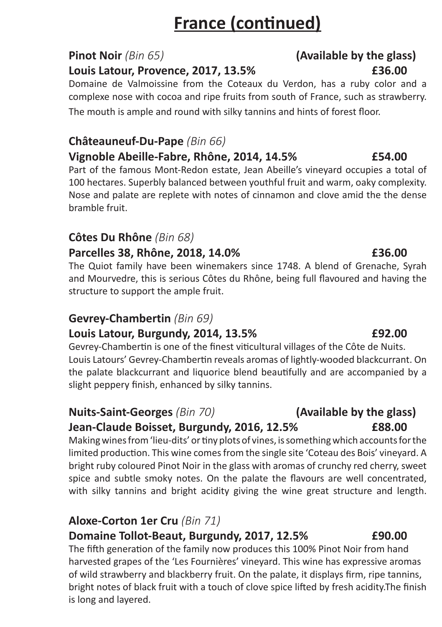# **France (continued)**

#### **Louis Latour, Provence, 2017, 13.5% £36.00**

Domaine de Valmoissine from the Coteaux du Verdon, has a ruby color and a complexe nose with cocoa and ripe fruits from south of France, such as strawberry. The mouth is ample and round with silky tannins and hints of forest floor.

### **Châteauneuf-Du-Pape** *(Bin 66)*

### **Vignoble Abeille-Fabre, Rhône, 2014, 14.5% £54.00**

Part of the famous Mont-Redon estate, Jean Abeille's vineyard occupies a total of 100 hectares. Superbly balanced between youthful fruit and warm, oaky complexity. Nose and palate are replete with notes of cinnamon and clove amid the the dense bramble fruit.

### **Côtes Du Rhône** *(Bin 68)*

### **Parcelles 38, Rhône, 2018, 14.0% £36.00**

The Quiot family have been winemakers since 1748. A blend of Grenache, Syrah and Mourvedre, this is serious Côtes du Rhône, being full flavoured and having the structure to support the ample fruit.

### **Gevrey-Chambertin** *(Bin 69)*

### **Louis Latour, Burgundy, 2014, 13.5% £92.00**

Gevrey-Chambertin is one of the finest viticultural villages of the Côte de Nuits. Louis Latours' Gevrey-Chambertin reveals aromas of lightly-wooded blackcurrant. On the palate blackcurrant and liquorice blend beautifully and are accompanied by a slight peppery finish, enhanced by silky tannins.

### **Nuits-Saint-Georges** *(Bin 70)* **(Available by the glass) Jean-Claude Boisset, Burgundy, 2016, 12.5% £88.00**

Making wines from 'lieu-dits' or tiny plots of vines, is something which accounts for the limited production. This wine comes from the single site 'Coteau des Bois' vineyard. A bright ruby coloured Pinot Noir in the glass with aromas of crunchy red cherry, sweet spice and subtle smoky notes. On the palate the flavours are well concentrated, with silky tannins and bright acidity giving the wine great structure and length.

### **Aloxe-Corton 1er Cru** *(Bin 71)*

### **Domaine Tollot-Beaut, Burgundy, 2017, 12.5% £90.00**

The fifth generation of the family now produces this 100% Pinot Noir from hand harvested grapes of the 'Les Fournières' vineyard. This wine has expressive aromas of wild strawberry and blackberry fruit. On the palate, it displays firm, ripe tannins, bright notes of black fruit with a touch of clove spice lifted by fresh acidity.The finish is long and layered.

# **Pinot Noir** *(Bin 65)* **(Available by the glass)**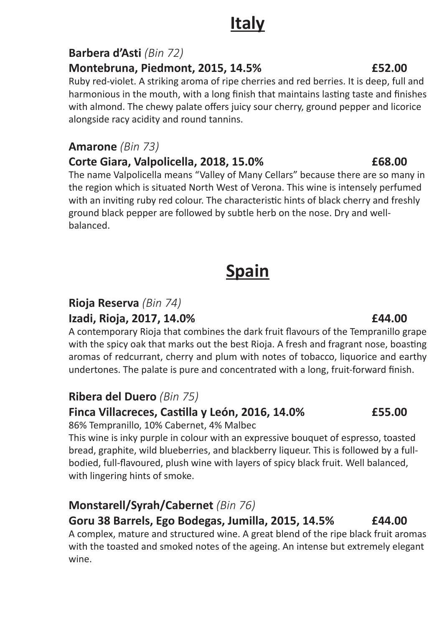# **Italy**

### **Barbera d'Asti** *(Bin 72)*

**Montebruna, Piedmont, 2015, 14.5% £52.00**

Ruby red-violet. A striking aroma of ripe cherries and red berries. It is deep, full and harmonious in the mouth, with a long finish that maintains lasting taste and finishes with almond. The chewy palate offers juicy sour cherry, ground pepper and licorice alongside racy acidity and round tannins.

### **Amarone** *(Bin 73)*

### **Corte Giara, Valpolicella, 2018, 15.0% £68.00**

The name Valpolicella means "Valley of Many Cellars" because there are so many in the region which is situated North West of Verona. This wine is intensely perfumed with an inviting ruby red colour. The characteristic hints of black cherry and freshly ground black pepper are followed by subtle herb on the nose. Dry and wellbalanced.

# **Spain**

### **Rioja Reserva** *(Bin 74)*

### **Izadi, Rioja, 2017, 14.0% £44.00**

A contemporary Rioja that combines the dark fruit flavours of the Tempranillo grape with the spicy oak that marks out the best Rioja. A fresh and fragrant nose, boasting aromas of redcurrant, cherry and plum with notes of tobacco, liquorice and earthy undertones. The palate is pure and concentrated with a long, fruit-forward finish.

### **Ribera del Duero** *(Bin 75)*

### **Finca Villacreces, Castilla y León, 2016, 14.0% £55.00**

86% Tempranillo, 10% Cabernet, 4% Malbec

This wine is inky purple in colour with an expressive bouquet of espresso, toasted bread, graphite, wild blueberries, and blackberry liqueur. This is followed by a fullbodied, full-flavoured, plush wine with layers of spicy black fruit. Well balanced, with lingering hints of smoke.

### **Monstarell/Syrah/Cabernet** *(Bin 76)*

### **Goru 38 Barrels, Ego Bodegas, Jumilla, 2015, 14.5% £44.00**

A complex, mature and structured wine. A great blend of the ripe black fruit aromas with the toasted and smoked notes of the ageing. An intense but extremely elegant wine.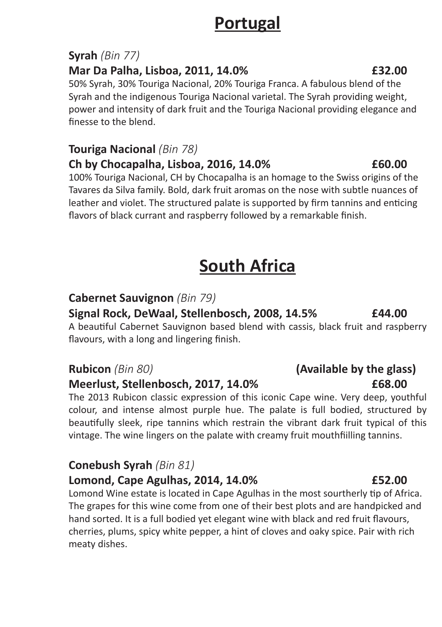## **Portugal**

### **Syrah** *(Bin 77)*

#### **Mar Da Palha, Lisboa, 2011, 14.0% £32.00**

50% Syrah, 30% Touriga Nacional, 20% Touriga Franca. A fabulous blend of the Syrah and the indigenous Touriga Nacional varietal. The Syrah providing weight, power and intensity of dark fruit and the Touriga Nacional providing elegance and finesse to the blend.

#### **Touriga Nacional** *(Bin 78)*

#### **Ch by Chocapalha, Lisboa, 2016, 14.0% £60.00**

100% Touriga Nacional, CH by Chocapalha is an homage to the Swiss origins of the Tavares da Silva family. Bold, dark fruit aromas on the nose with subtle nuances of leather and violet. The structured palate is supported by firm tannins and enticing flavors of black currant and raspberry followed by a remarkable finish.

# **South Africa**

### **Cabernet Sauvignon** *(Bin 79)*

#### **Signal Rock, DeWaal, Stellenbosch, 2008, 14.5% £44.00**

A beautiful Cabernet Sauvignon based blend with cassis, black fruit and raspberry flavours, with a long and lingering finish.

#### **Meerlust, Stellenbosch, 2017, 14.0% £68.00**

The 2013 Rubicon classic expression of this iconic Cape wine. Very deep, youthful colour, and intense almost purple hue. The palate is full bodied, structured by beautifully sleek, ripe tannins which restrain the vibrant dark fruit typical of this vintage. The wine lingers on the palate with creamy fruit mouthfiilling tannins.

### **Conebush Syrah** *(Bin 81)*

#### **Lomond, Cape Agulhas, 2014, 14.0% £52.00**

Lomond Wine estate is located in Cape Agulhas in the most sourtherly tip of Africa. The grapes for this wine come from one of their best plots and are handpicked and hand sorted. It is a full bodied yet elegant wine with black and red fruit flavours, cherries, plums, spicy white pepper, a hint of cloves and oaky spice. Pair with rich meaty dishes.

# **Rubicon** *(Bin 80)* **(Available by the glass)**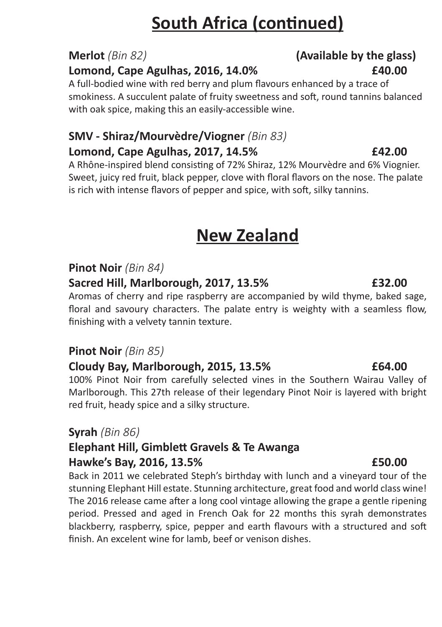# **South Africa (continued)**

### **Merlot** *(Bin 82)* **(Available by the glass)**

#### **Lomond, Cape Agulhas, 2016, 14.0% £40.00**

A full-bodied wine with red berry and plum flavours enhanced by a trace of smokiness. A succulent palate of fruity sweetness and soft, round tannins balanced with oak spice, making this an easily-accessible wine.

## **SMV - Shiraz/Mourvèdre/Viogner** *(Bin 83)*

#### **Lomond, Cape Agulhas, 2017, 14.5% £42.00**

A Rhône-inspired blend consisting of 72% Shiraz, 12% Mourvèdre and 6% Viognier. Sweet, juicy red fruit, black pepper, clove with floral flavors on the nose. The palate is rich with intense flavors of pepper and spice, with soft, silky tannins.

# **New Zealand**

### **Pinot Noir** *(Bin 84)*

#### **Sacred Hill, Marlborough, 2017, 13.5% £32.00**

Aromas of cherry and ripe raspberry are accompanied by wild thyme, baked sage, floral and savoury characters. The palate entry is weighty with a seamless flow, finishing with a velvety tannin texture.

#### **Pinot Noir** *(Bin 85)*

### **Cloudy Bay, Marlborough, 2015, 13.5% £64.00**

100% Pinot Noir from carefully selected vines in the Southern Wairau Valley of Marlborough. This 27th release of their legendary Pinot Noir is layered with bright red fruit, heady spice and a silky structure.

### **Syrah** *(Bin 86)*

### **Elephant Hill, Gimblett Gravels & Te Awanga Hawke's Bay, 2016, 13.5% £50.00**

Back in 2011 we celebrated Steph's birthday with lunch and a vineyard tour of the stunning Elephant Hill estate. Stunning architecture, great food and world class wine! The 2016 release came after a long cool vintage allowing the grape a gentle ripening period. Pressed and aged in French Oak for 22 months this syrah demonstrates blackberry, raspberry, spice, pepper and earth flavours with a structured and soft finish. An excelent wine for lamb, beef or venison dishes.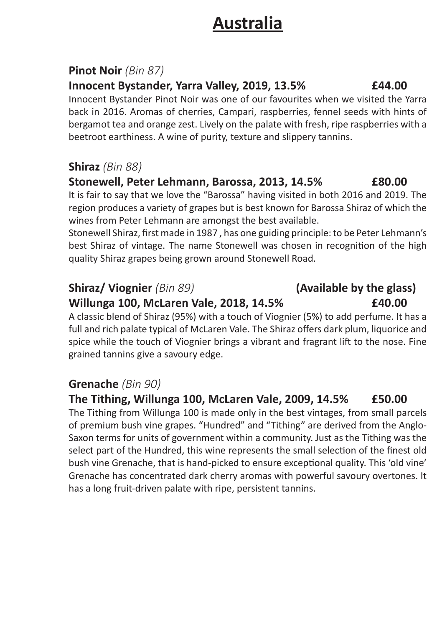## **Australia**

### **Pinot Noir** *(Bin 87)*

#### **Innocent Bystander, Yarra Valley, 2019, 13.5% £44.00**

Innocent Bystander Pinot Noir was one of our favourites when we visited the Yarra back in 2016. Aromas of cherries, Campari, raspberries, fennel seeds with hints of bergamot tea and orange zest. Lively on the palate with fresh, ripe raspberries with a beetroot earthiness. A wine of purity, texture and slippery tannins.

### **Shiraz** *(Bin 88)*

### **Stonewell, Peter Lehmann, Barossa, 2013, 14.5% £80.00**

It is fair to say that we love the "Barossa" having visited in both 2016 and 2019. The region produces a variety of grapes but is best known for Barossa Shiraz of which the wines from Peter Lehmann are amongst the best available.

Stonewell Shiraz, first made in 1987 , has one guiding principle: to be Peter Lehmann's best Shiraz of vintage. The name Stonewell was chosen in recognition of the high quality Shiraz grapes being grown around Stonewell Road.

### **Shiraz/ Viognier** *(Bin 89)* **(Available by the glass)**

#### **Willunga 100, McLaren Vale, 2018, 14.5% £40.00**

A classic blend of Shiraz (95%) with a touch of Viognier (5%) to add perfume. It has a full and rich palate typical of McLaren Vale. The Shiraz offers dark plum, liquorice and spice while the touch of Viognier brings a vibrant and fragrant lift to the nose. Fine grained tannins give a savoury edge.

### **Grenache** *(Bin 90)*

### **The Tithing, Willunga 100, McLaren Vale, 2009, 14.5% £50.00**

The Tithing from Willunga 100 is made only in the best vintages, from small parcels of premium bush vine grapes. "Hundred" and "Tithing" are derived from the Anglo-Saxon terms for units of government within a community. Just as the Tithing was the select part of the Hundred, this wine represents the small selection of the finest old bush vine Grenache, that is hand-picked to ensure exceptional quality. This 'old vine' Grenache has concentrated dark cherry aromas with powerful savoury overtones. It has a long fruit-driven palate with ripe, persistent tannins.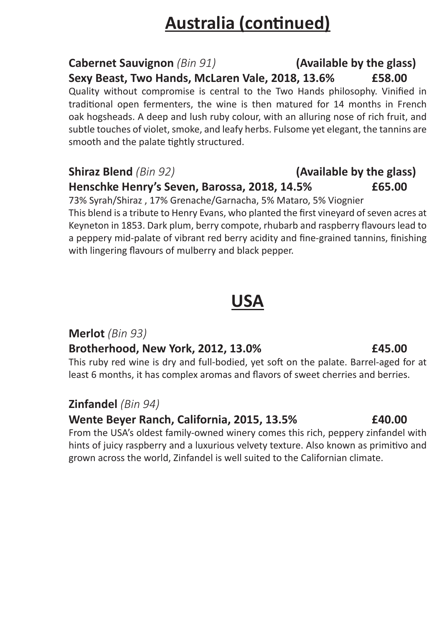# **Australia (continued)**

### **Cabernet Sauvignon** *(Bin 91)* **(Available by the glass) Sexy Beast, Two Hands, McLaren Vale, 2018, 13.6% £58.00**

Quality without compromise is central to the Two Hands philosophy. Vinified in traditional open fermenters, the wine is then matured for 14 months in French oak hogsheads. A deep and lush ruby colour, with an alluring nose of rich fruit, and subtle touches of violet, smoke, and leafy herbs. Fulsome yet elegant, the tannins are smooth and the palate tightly structured.

### **Shiraz Blend** *(Bin 92)* **(Available by the glass) Henschke Henry's Seven, Barossa, 2018, 14.5% £65.00**

73% Syrah/Shiraz , 17% Grenache/Garnacha, 5% Mataro, 5% Viognier This blend is a tribute to Henry Evans, who planted the first vineyard of seven acres at Keyneton in 1853. Dark plum, berry compote, rhubarb and raspberry flavours lead to a peppery mid-palate of vibrant red berry acidity and fine-grained tannins, finishing with lingering flavours of mulberry and black pepper.

## **USA**

### **Merlot** *(Bin 93)*

### **Brotherhood, New York, 2012, 13.0% £45.00**

This ruby red wine is dry and full-bodied, yet soft on the palate. Barrel-aged for at least 6 months, it has complex aromas and flavors of sweet cherries and berries.

### **Zinfandel** *(Bin 94)*

### **Wente Beyer Ranch, California, 2015, 13.5% £40.00**

From the USA's oldest family-owned winery comes this rich, peppery zinfandel with hints of juicy raspberry and a luxurious velvety texture. Also known as primitivo and grown across the world, Zinfandel is well suited to the Californian climate.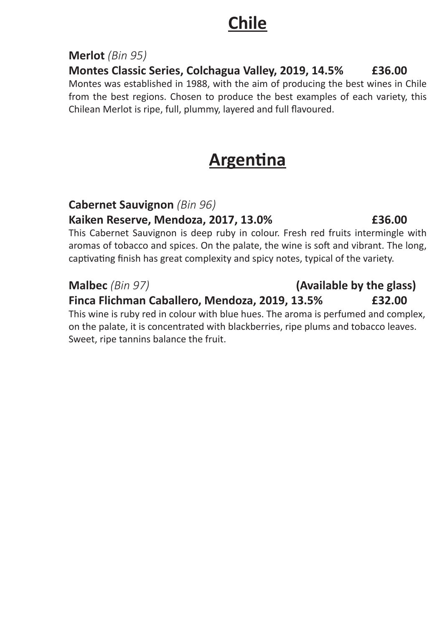## **Chile**

### **Merlot** *(Bin 95)*

**Montes Classic Series, Colchagua Valley, 2019, 14.5% £36.00**

Montes was established in 1988, with the aim of producing the best wines in Chile from the best regions. Chosen to produce the best examples of each variety, this Chilean Merlot is ripe, full, plummy, layered and full flavoured.

# **Argentina**

### **Cabernet Sauvignon** *(Bin 96)*

### **Kaiken Reserve, Mendoza, 2017, 13.0% £36.00**

This Cabernet Sauvignon is deep ruby in colour. Fresh red fruits intermingle with aromas of tobacco and spices. On the palate, the wine is soft and vibrant. The long, captivating finish has great complexity and spicy notes, typical of the variety.

#### **Malbec** *(Bin 97)* **(Available by the glass) Finca Flichman Caballero, Mendoza, 2019, 13.5% £32.00**

This wine is ruby red in colour with blue hues. The aroma is perfumed and complex, on the palate, it is concentrated with blackberries, ripe plums and tobacco leaves. Sweet, ripe tannins balance the fruit.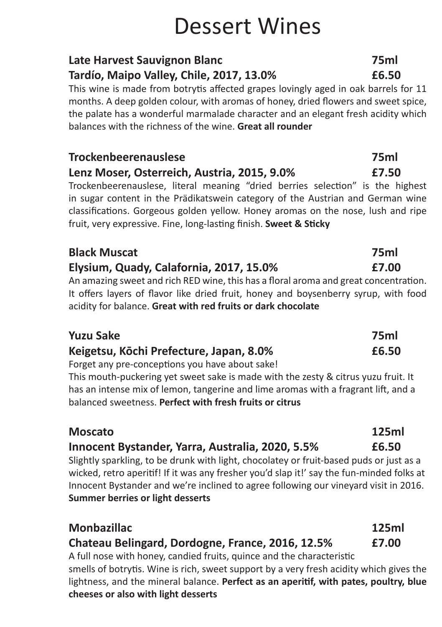# Dessert Wines

### **Late Harvest Sauvignon Blanc 75ml Tardío, Maipo Valley, Chile, 2017, 13.0% £6.50**

This wine is made from botrytis affected grapes lovingly aged in oak barrels for 11 months. A deep golden colour, with aromas of honey, dried flowers and sweet spice, the palate has a wonderful marmalade character and an elegant fresh acidity which balances with the richness of the wine. **Great all rounder**

### **Trockenbeerenauslese 75ml Lenz Moser, Osterreich, Austria, 2015, 9.0% £7.50**

Trockenbeerenauslese, literal meaning "dried berries selection" is the highest in sugar content in the Prädikatswein category of the Austrian and German wine classifications. Gorgeous golden yellow. Honey aromas on the nose, lush and ripe fruit, very expressive. Fine, long-lasting finish. **Sweet & Sticky**

#### **Black Muscat 75ml Elysium, Quady, Calafornia, 2017, 15.0% £7.00**

An amazing sweet and rich RED wine, this has a floral aroma and great concentration. It offers layers of flavor like dried fruit, honey and boysenberry syrup, with food acidity for balance. **Great with red fruits or dark chocolate**

### **Yuzu Sake 75ml Keigetsu, Kōchi Prefecture, Japan, 8.0% £6.50**

Forget any pre-conceptions you have about sake!

This mouth-puckering yet sweet sake is made with the zesty & citrus yuzu fruit. It has an intense mix of lemon, tangerine and lime aromas with a fragrant lift, and a balanced sweetness. **Perfect with fresh fruits or citrus**

### **Moscato 125ml**

### **Innocent Bystander, Yarra, Australia, 2020, 5.5% £6.50**

Slightly sparkling, to be drunk with light, chocolatey or fruit-based puds or just as a wicked, retro aperitif! If it was any fresher you'd slap it!' say the fun-minded folks at Innocent Bystander and we're inclined to agree following our vineyard visit in 2016. **Summer berries or light desserts**

### **Monbazillac 125ml Chateau Belingard, Dordogne, France, 2016, 12.5% £7.00**

A full nose with honey, candied fruits, quince and the characteristic smells of botrytis. Wine is rich, sweet support by a very fresh acidity which gives the lightness, and the mineral balance. **Perfect as an aperitif, with pates, poultry, blue cheeses or also with light desserts**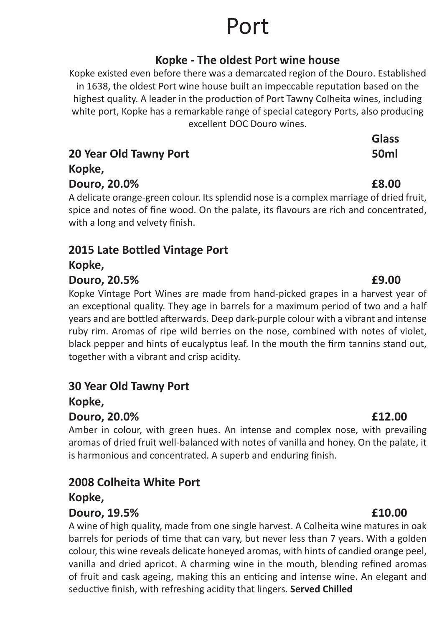# Port

### **Kopke - The oldest Port wine house**

Kopke existed even before there was a demarcated region of the Douro. Established in 1638, the oldest Port wine house built an impeccable reputation based on the highest quality. A leader in the production of Port Tawny Colheita wines, including white port, Kopke has a remarkable range of special category Ports, also producing excellent DOC Douro wines.

|                        | <b>Glass</b>     |
|------------------------|------------------|
| 20 Year Old Tawny Port | 50 <sub>ml</sub> |
| Kopke,                 |                  |
| Douro, 20.0%           | £8.00            |

A delicate orange-green colour. Its splendid nose is a complex marriage of dried fruit, spice and notes of fine wood. On the palate, its flavours are rich and concentrated, with a long and velvety finish.

### **2015 Late Bottled Vintage Port**

**Kopke,**

#### **Douro, 20.5% £9.00**

Kopke Vintage Port Wines are made from hand-picked grapes in a harvest year of an exceptional quality. They age in barrels for a maximum period of two and a half years and are bottled afterwards. Deep dark-purple colour with a vibrant and intense ruby rim. Aromas of ripe wild berries on the nose, combined with notes of violet, black pepper and hints of eucalyptus leaf. In the mouth the firm tannins stand out, together with a vibrant and crisp acidity.

### **30 Year Old Tawny Port**

**Kopke,**

#### **Douro, 20.0% £12.00**

Amber in colour, with green hues. An intense and complex nose, with prevailing aromas of dried fruit well-balanced with notes of vanilla and honey. On the palate, it is harmonious and concentrated. A superb and enduring finish.

#### **2008 Colheita White Port Kopke,**

#### **Douro, 19.5% £10.00**

A wine of high quality, made from one single harvest. A Colheita wine matures in oak barrels for periods of time that can vary, but never less than 7 years. With a golden colour, this wine reveals delicate honeyed aromas, with hints of candied orange peel, vanilla and dried apricot. A charming wine in the mouth, blending refined aromas of fruit and cask ageing, making this an enticing and intense wine. An elegant and seductive finish, with refreshing acidity that lingers. **Served Chilled**